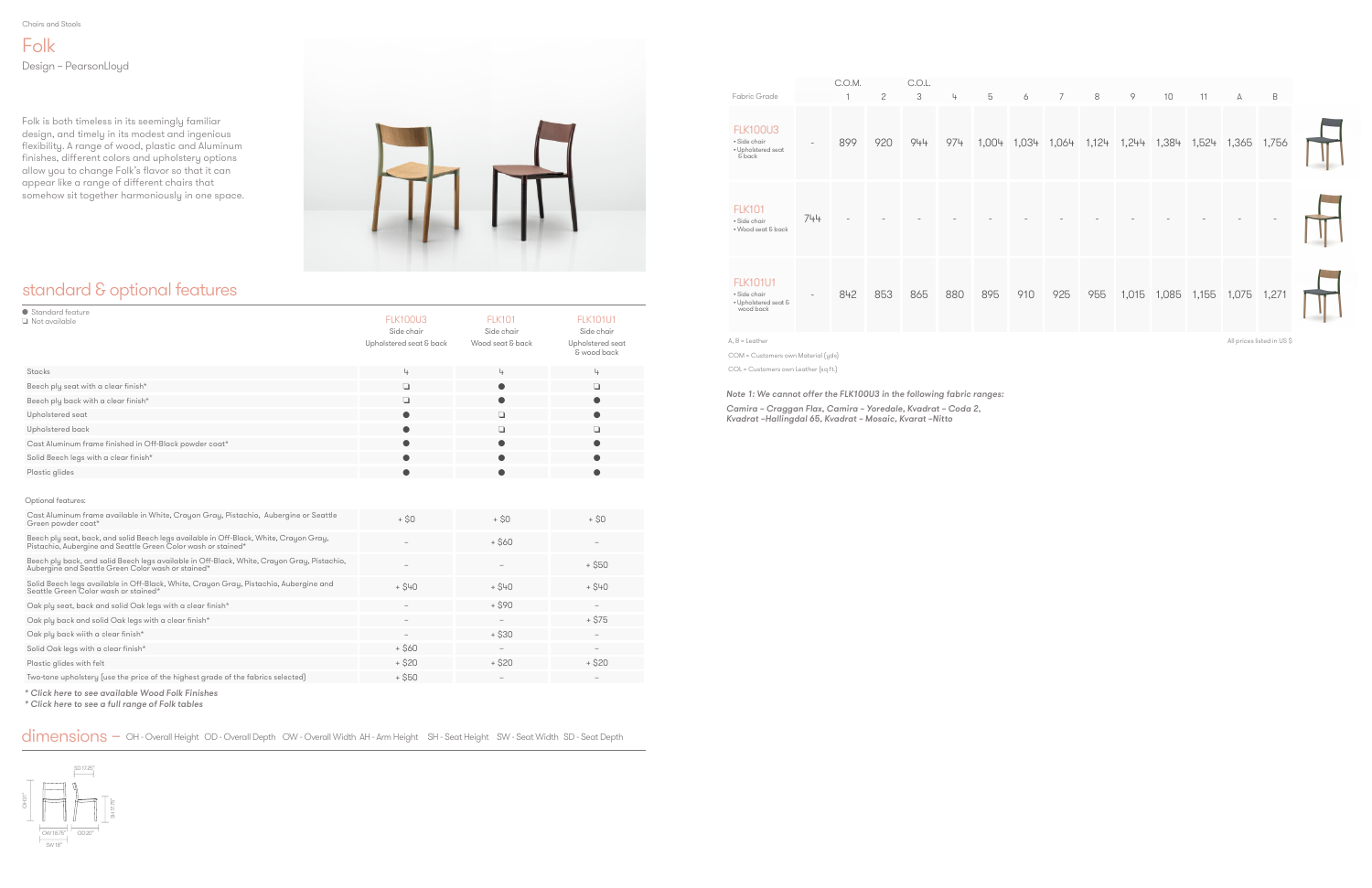Chairs and Stools

### standard & optional features

Folk Design – PearsonLloyd

Folk is both timeless in its seemingly familiar design, and timely in its modest and ingenious flexibility. A range of wood, plastic and Aluminum finishes, different colors and upholstery options allow you to change Folk's flavor so that it can appear like a range of different chairs that somehow sit together harmoniously in one space.



| Fabric Grade                                                         |                          | C.O.M. | $\mathbf{2}$ | C.O.L.<br>3 | 4   | 5     | 6   | $\overline{7}$ | 8   | 9                       | 10          | 11    | А     | $\,$ B                    |  |
|----------------------------------------------------------------------|--------------------------|--------|--------------|-------------|-----|-------|-----|----------------|-----|-------------------------|-------------|-------|-------|---------------------------|--|
| <b>FLK100U3</b><br>· Side chair<br>• Upholstered seat<br>& back      | $\overline{\phantom{a}}$ | 899    | 920          | 944         | 974 | 1,004 |     |                |     | 1,034 1,064 1,124 1,244 | 1,384       | 1,524 | 1,365 | 1,756                     |  |
| <b>FLK101</b><br>· Side chair<br>• Wood seat & back                  | 744                      |        |              |             |     |       |     |                |     |                         |             |       |       |                           |  |
| <b>FLK101U1</b><br>· Side chair<br>• Upholstered seat &<br>wood back | $\overline{\phantom{0}}$ | 842    | 853          | 865         | 880 | 895   | 910 | 925            | 955 |                         | 1,015 1,085 | 1,155 | 1,075 | 1,271                     |  |
| $A, B =$ Leather                                                     |                          |        |              |             |     |       |     |                |     |                         |             |       |       | All prices listed in US\$ |  |

| ● Standard feature<br>$\Box$ Not available             | <b>FLK100U3</b><br>Side chair<br>Upholstered seat & back | <b>FLK101</b><br>Side chair<br>Wood seat & back | <b>FLK101U1</b><br>Side chair<br>Upholstered seat<br>& wood back |
|--------------------------------------------------------|----------------------------------------------------------|-------------------------------------------------|------------------------------------------------------------------|
| Stacks                                                 | 4                                                        | 4                                               | 4                                                                |
| Beech ply seat with a clear finish*                    | $\Box$                                                   | $\bullet$                                       | $\Box$                                                           |
| Beech ply back with a clear finish*                    | ◘                                                        | $\bullet$                                       | $\bullet$                                                        |
| Upholstered seat                                       |                                                          | □                                               |                                                                  |
| Upholstered back                                       |                                                          | ◘                                               | П                                                                |
| Cast Aluminum frame finished in Off-Black powder coat* |                                                          | O                                               |                                                                  |
| Solid Beech legs with a clear finish*                  |                                                          | ●                                               |                                                                  |
| Plastic glides                                         |                                                          | ●                                               |                                                                  |

COM = Customers own Material (yds)

COL = Customers own Leather (sq ft.)

Note 1: We cannot offer the FLK100U3 in the following fabric ranges:

Camira – Craggan Flax, Camira – Yoredale, Kvadrat – Coda 2, Kvadrat –Hallingdal 65, Kvadrat – Mosaic, Kvarat –Nitto



#### Optional features:

| Cast Aluminum frame available in White, Crayon Gray, Pistachio, Aubergine or Seattle<br>Green powder coat*                                           | $+$ \$0                         | + SO                                                                      | $+ S0$                   |
|------------------------------------------------------------------------------------------------------------------------------------------------------|---------------------------------|---------------------------------------------------------------------------|--------------------------|
| Beech ply seat, back, and solid Beech legs available in Off-Black, White, Crayon Gray, Pistachio, Aubergine and Seattle Green Color wash or stained* |                                 | $+$ \$60                                                                  |                          |
| Beech ply back, and solid Beech legs available in Off-Black, White, Crayon Gray, Pistachio, Aubergine and Seattle Green Color wash or stained*       |                                 |                                                                           | $+$ \$50                 |
| Solid Beech legs available in Off-Black, White, Crayon Gray, Pistachio, Aubergine and<br>Seattle Green Color wash or stained*                        | $+$ \$40                        | $+$ \$40                                                                  | $+$ \$40                 |
| Oak ply seat, back and solid Oak legs with a clear finish*                                                                                           |                                 | + \$90                                                                    | $\overline{\phantom{a}}$ |
| Oak ply back and solid Oak legs with a clear finish*                                                                                                 | $\hspace{0.1mm}-\hspace{0.1mm}$ | $\hspace{1.0cm} \rule{1.5cm}{0.15cm} \hspace{1.0cm} \rule{1.5cm}{0.15cm}$ | $+$ \$75                 |
| Oak ply back wiith a clear finish*                                                                                                                   |                                 | $+$ \$30                                                                  |                          |
| Solid Oak legs with a clear finish*                                                                                                                  | + \$60                          | $\hspace{1.0cm} \rule{1.5cm}{0.15cm} \hspace{1.0cm} \rule{1.5cm}{0.15cm}$ |                          |
| Plastic glides with felt                                                                                                                             | $+$ \$20                        | $+$ \$20                                                                  | $+$ \$20                 |
| Two-tone upholstery (use the price of the highest grade of the fabrics selected)                                                                     | $+$ \$50                        | $\qquad \qquad -$                                                         | $\overline{\phantom{a}}$ |

[\\* Click here to see available Wood Folk Finishes](#page-4-0)

[\\* Click here to see a full range of Folk tables](https://www.allermuir.com/us/products/tables-storage/folk-tables)

dimensions – OH - Overall Height OD - Overall Depth OW - Overall Width AH - Arm Height SH - Seat Height SW - Seat Width SD - Seat Depth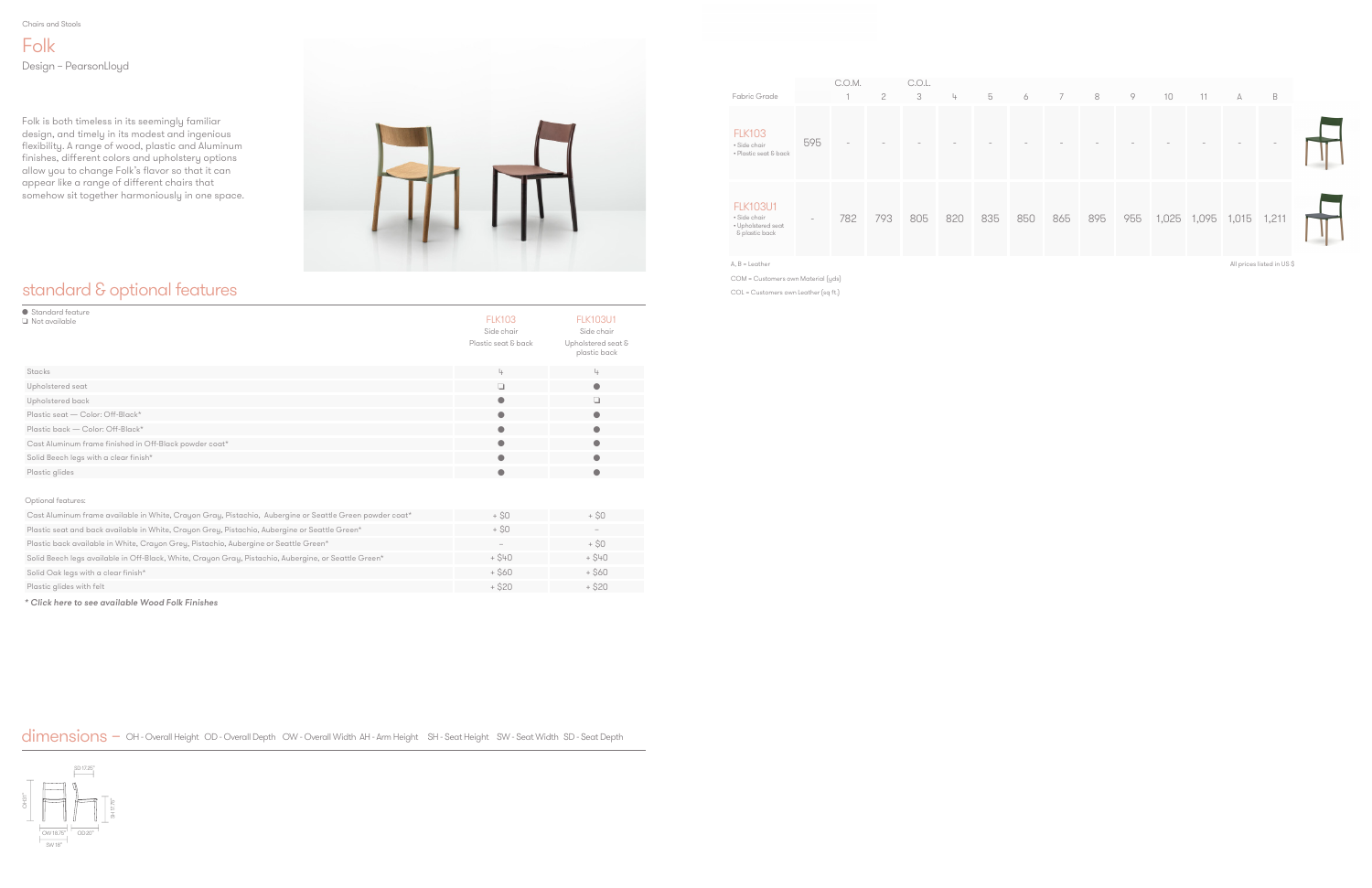Chairs and Stools

### standard & optional features

Folk Design – PearsonLloyd

Folk is both timeless in its seemingly familiar design, and timely in its modest and ingenious flexibility. A range of wood, plastic and Aluminum finishes, different colors and upholstery options allow you to change Folk's flavor so that it can appear like a range of different chairs that somehow sit together harmoniously in one space.



| ● Standard feature<br>Not available                    | <b>FLK103</b><br>Side chair<br>Plastic seat & back | <b>FLK103U1</b><br>Side chair<br>Upholstered seat &<br>plastic back |
|--------------------------------------------------------|----------------------------------------------------|---------------------------------------------------------------------|
| Stacks                                                 | 4                                                  | 4                                                                   |
| Upholstered seat                                       | $\Box$                                             | $\bullet$                                                           |
| Upholstered back                                       | $\bullet$                                          | ū                                                                   |
| Plastic seat - Color: Off-Black*                       | $\bullet$                                          | $\bullet$                                                           |
| Plastic back - Color: Off-Black*                       | $\bullet$                                          | $\bullet$                                                           |
| Cast Aluminum frame finished in Off-Black powder coat* | $\bullet$                                          | $\bullet$                                                           |
| Solid Beech legs with a clear finish*                  | $\bullet$                                          | $\bullet$                                                           |
| Plastic glides                                         | $\bullet$                                          | $\bullet$                                                           |
| Optional features:                                     |                                                    |                                                                     |

| Fabric Grade                                                            |                          | C.O.M. | 2   | C.O.L.<br>3 | 4   | 5   | 6   | $\overline{7}$ | 8   | 9   | 10                | 11 | А | $\mathsf B$ |  |
|-------------------------------------------------------------------------|--------------------------|--------|-----|-------------|-----|-----|-----|----------------|-----|-----|-------------------|----|---|-------------|--|
| <b>FLK103</b><br>· Side chair<br>• Plastic seat & back                  | 595                      |        |     |             |     |     |     |                |     |     |                   |    |   |             |  |
| <b>FLK103U1</b><br>• Side chair<br>• Upholstered seat<br>& plastic back | $\overline{\phantom{a}}$ | 782    | 793 | 805         | 820 | 835 | 850 | 865            | 895 | 955 | 1,025 1,095 1,015 |    |   | 1,211       |  |

A, B = Leather

COM = Customers own Material (yds)

COL = Customers own Leather (sq ft.)

All prices listed in US \$



| Cast Aluminum frame available in White, Crayon Gray, Pistachio, Aubergine or Seattle Green powder coat* | + SO     | + SO      |
|---------------------------------------------------------------------------------------------------------|----------|-----------|
| Plastic seat and back available in White, Crayon Grey, Pistachio, Aubergine or Seattle Green*           | + SO     | $\sim$    |
| Plastic back available in White, Crayon Grey, Pistachio, Aubergine or Seattle Green*                    | $\sim$   | + SO      |
| Solid Beech legs available in Off-Black, White, Crayon Gray, Pistachio, Aubergine, or Seattle Green*    | $+$ \$40 | $+$ $S+O$ |
| Solid Oak legs with a clear finish*                                                                     | $+$ \$60 | $+$ \$60  |
| Plastic glides with felt                                                                                | + \$20   | + \$20    |

[\\* Click here to see available Wood Folk Finishes](#page-4-0)

dimensions – OH - Overall Height OD - Overall Depth OW - Overall Width AH - Arm Height SH - Seat Height SW - Seat Width SD - Seat Depth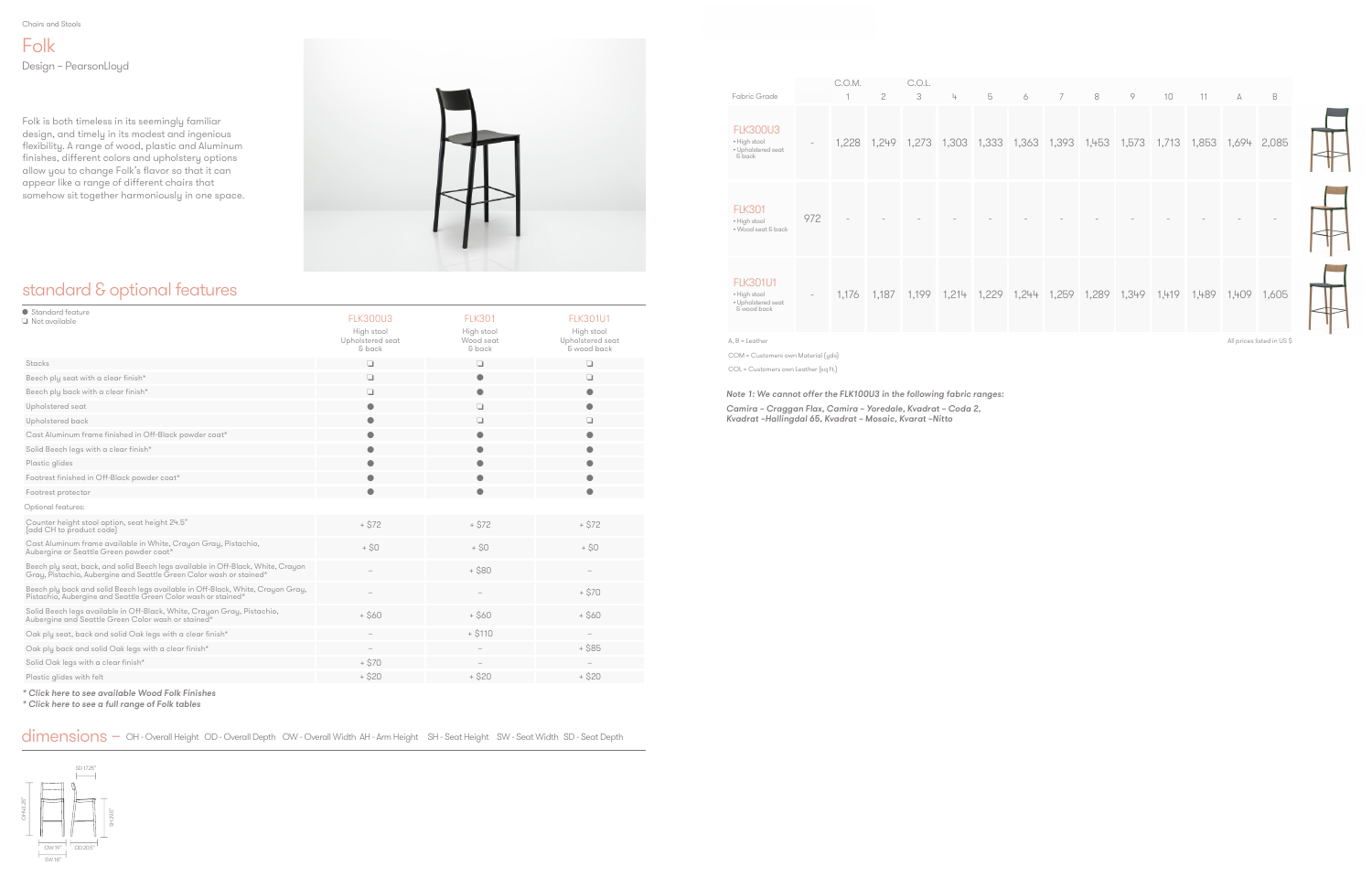Folk Design – PearsonLloyd

Folk is both timeless in its seemingly familiar design, and timely in its modest and ingenious flexibility. A range of wood, plastic and Aluminum finishes, different colors and upholstery options allow you to change Folk's flavor so that it can appear like a range of different chairs that somehow sit together harmoniously in one space.



# standard & optional features



| Standard feature<br>$\Box$ Not available                                                                                                                | <b>FLK300U3</b><br>High stool<br>Upholstered seat<br>& back | <b>FLK301</b><br>High stool<br>Wood seat<br>& back | <b>FLK301U1</b><br>High stool<br>Upholstered seat<br>& wood back |
|---------------------------------------------------------------------------------------------------------------------------------------------------------|-------------------------------------------------------------|----------------------------------------------------|------------------------------------------------------------------|
| Stacks                                                                                                                                                  | $\Box$                                                      | ❏                                                  | ❏                                                                |
| Beech ply seat with a clear finish*                                                                                                                     | $\Box$                                                      | $\bullet$                                          | ❏                                                                |
| Beech ply back with a clear finish*                                                                                                                     | □                                                           |                                                    | 0                                                                |
| Upholstered seat                                                                                                                                        | $\bullet$                                                   | Q                                                  | $\bullet$                                                        |
| Upholstered back                                                                                                                                        | $\bullet$                                                   | ❏                                                  | ❏                                                                |
| Cast Aluminum frame finished in Off-Black powder coat*                                                                                                  |                                                             | 0                                                  | 0                                                                |
| Solid Beech legs with a clear finish*                                                                                                                   | О                                                           |                                                    |                                                                  |
| Plastic glides                                                                                                                                          |                                                             |                                                    |                                                                  |
| Footrest finished in Off-Black powder coat*                                                                                                             | $\bullet$                                                   |                                                    | O                                                                |
| Footrest protector                                                                                                                                      | $\bullet$                                                   | ●                                                  | $\bullet$                                                        |
| Optional features:                                                                                                                                      |                                                             |                                                    |                                                                  |
| Counter height stool option, seat height 24.5"<br>(add CH to product code)                                                                              | $+ $72$                                                     | $+ $72$                                            | $+ $72$                                                          |
| Cast Aluminum frame available in White, Crayon Gray, Pistachio,<br>Aubergine or Seattle Green powder coat*                                              | $+$ \$0                                                     | $+$ \$0                                            | $+$ \$0                                                          |
| Beech ply seat, back, and solid Beech legs available in Off-Black, White, Crayon<br>Gray, Pistachio, Aubergine and Seattle Green Color wash or stained* |                                                             | $+ $80$                                            |                                                                  |
| Beech ply back and solid Beech legs available in Off-Black, White, Crayon Gray,<br>Pistachio, Aubergine and Seattle Green Color wash or stained*        |                                                             |                                                    | $+ $70$                                                          |
| Solid Beech legs available in Off-Black, White, Crayon Gray, Pistachio,<br>Aubergine and Seattle Green Color wash or stained*                           | $+$ \$60                                                    | $+$ \$60                                           | $+$ \$60                                                         |
| Oak ply seat, back and solid Oak legs with a clear finish*                                                                                              |                                                             | $+ $110$                                           |                                                                  |
| Oak ply back and solid Oak legs with a clear finish*                                                                                                    |                                                             |                                                    | $+$ \$85                                                         |
| Solid Oak legs with a clear finish*                                                                                                                     | $+ $70$                                                     |                                                    |                                                                  |
| Plastic glides with felt                                                                                                                                | + \$20                                                      | $+$ \$20                                           | $+ $20$                                                          |
|                                                                                                                                                         |                                                             |                                                    |                                                                  |

[\\* Click here to see available Wood Folk Finishes](#page-4-0)

[\\* Click here to see a full range of Folk tables](https://www.allermuir.com/us/products/tables-storage/folk-tables)

dimensions – OH - Overall Height OD - Overall Depth OW - Overall Width AH - Arm Height SH - Seat Height SW - Seat Width SD - Seat Depth

|                                                                                 |                                 | C.O.M. |                                                                                     | C.O.L. |   |   |   |   |   |   |    |    |                       |                           |
|---------------------------------------------------------------------------------|---------------------------------|--------|-------------------------------------------------------------------------------------|--------|---|---|---|---|---|---|----|----|-----------------------|---------------------------|
| Fabric Grade<br><b>FLK300U3</b><br>• High stool<br>• Upholstered seat<br>& back | $\hspace{0.1mm}-\hspace{0.1mm}$ |        | $\mathfrak{C}$<br>1,228 1,249 1,273 1,303 1,333 1,363 1,393 1,453 1,573 1,713 1,853 | 3      | 4 | 5 | 6 | 7 | 8 | 9 | 10 | 11 | $\mathbb{A}$<br>1,694 | $\mathsf B$<br>2,085      |
| <b>FLK301</b><br>• High stool<br>• Wood seat & back                             | 972                             |        |                                                                                     |        |   |   |   |   |   |   |    |    |                       |                           |
| <b>FLK301U1</b><br>• High stool<br>• Upholstered seat<br>& wood back            | $\overline{\phantom{a}}$        |        | 1,176 1,187 1,199 1,214 1,229 1,244 1,259 1,289 1,349 1,419 1,489 1,409             |        |   |   |   |   |   |   |    |    |                       | 1,605                     |
| $A, B =$ Leather                                                                |                                 |        |                                                                                     |        |   |   |   |   |   |   |    |    |                       | All prices listed in US\$ |
| COM = Customers own Material (yds)                                              |                                 |        |                                                                                     |        |   |   |   |   |   |   |    |    |                       |                           |

Note 1: We cannot offer the FLK100U3 in the following fabric ranges:

Camira – Craggan Flax, Camira – Yoredale, Kvadrat – Coda 2, Kvadrat –Hallingdal 65, Kvadrat – Mosaic, Kvarat –Nitto

COL = Customers own Leather (sq ft.)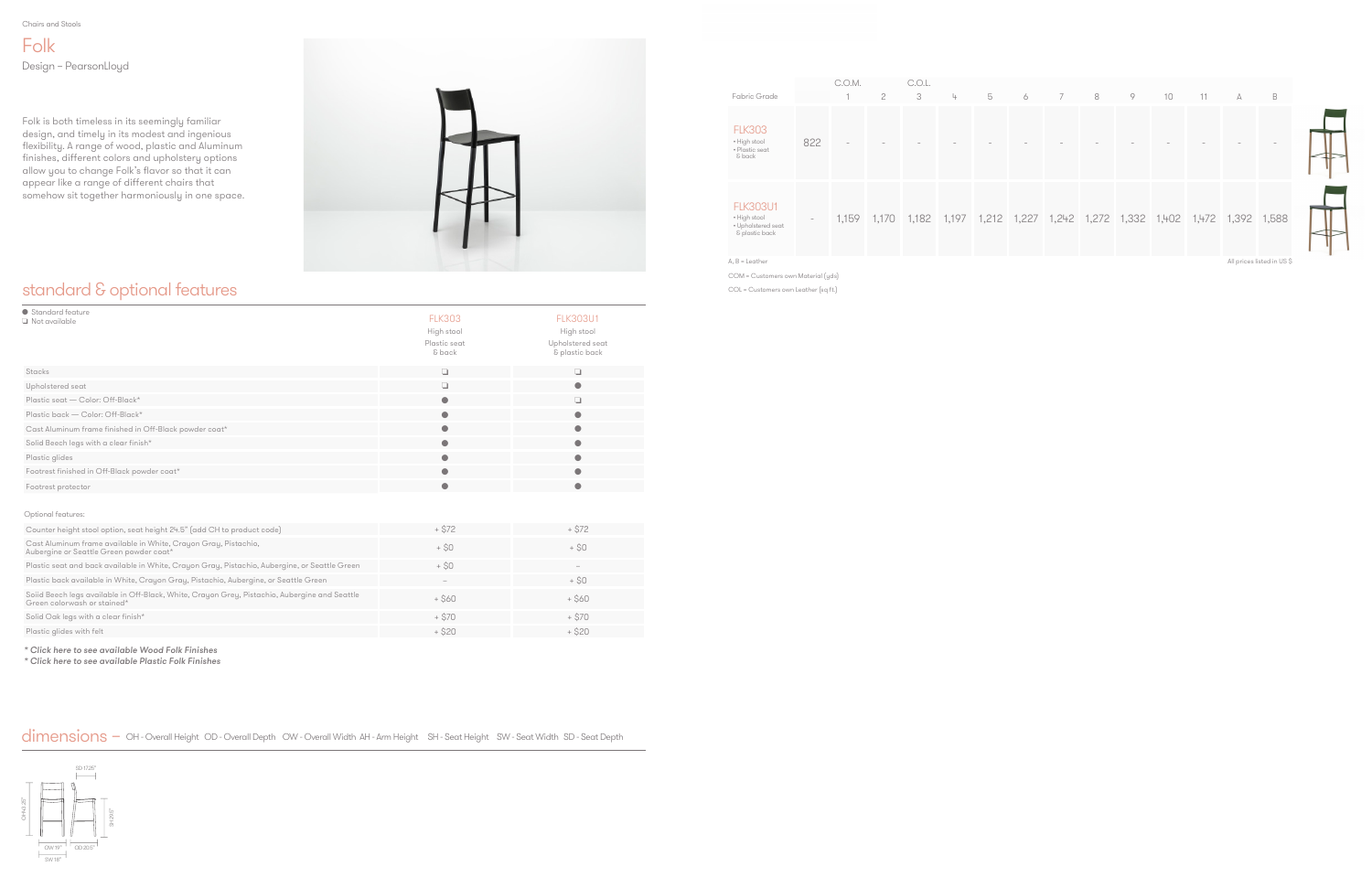Chairs and Stools

## standard & optional features

Folk Design – PearsonLloyd

Folk is both timeless in its seemingly familiar design, and timely in its modest and ingenious flexibility. A range of wood, plastic and Aluminum finishes, different colors and upholstery options allow you to change Folk's flavor so that it can appear like a range of different chairs that somehow sit together harmoniously in one space.





| ● Standard feature<br>$\Box$ Not available                                                                                   | <b>FLK303</b>          | <b>FLK303U1</b>                    |
|------------------------------------------------------------------------------------------------------------------------------|------------------------|------------------------------------|
|                                                                                                                              | High stool             | High stool                         |
|                                                                                                                              | Plastic seat<br>& back | Upholstered seat<br>& plastic back |
| Stacks                                                                                                                       | $\Box$                 | o                                  |
| Upholstered seat                                                                                                             | $\Box$                 | $\bullet$                          |
| Plastic seat - Color: Off-Black*                                                                                             | $\bullet$              | a                                  |
| Plastic back - Color: Off-Black*                                                                                             | $\bullet$              | $\bullet$                          |
| Cast Aluminum frame finished in Off-Black powder coat*                                                                       | $\bullet$              | $\bullet$                          |
| Solid Beech legs with a clear finish*                                                                                        | $\bullet$              | O                                  |
| Plastic glides                                                                                                               | $\bullet$              | 0                                  |
| Footrest finished in Off-Black powder coat*                                                                                  | $\bullet$              |                                    |
| Footrest protector                                                                                                           | $\bullet$              | $\bullet$                          |
|                                                                                                                              |                        |                                    |
| Optional features:                                                                                                           |                        |                                    |
| Counter height stool option, seat height 24.5" (add CH to product code)                                                      | $+ $72$                | $+ $72$                            |
| Cast Aluminum frame available in White, Crayon Gray, Pistachio,<br>Aubergine or Seattle Green powder coat*                   | $+$ \$0                | $+$ \$0                            |
| Plastic seat and back available in White, Crayon Gray, Pistachio, Aubergine, or Seattle Green                                | $+$ \$0                | $\hspace{0.1mm}-\hspace{0.1mm}$    |
| Plastic back available in White, Crayon Gray, Pistachio, Aubergine, or Seattle Green                                         |                        | $+$ \$0                            |
| Soiid Beech legs available in Off-Black, White, Crayon Grey, Pistachio, Aubergine and Seattle<br>Green colorwash or stained* | $+$ \$60               | $+$ \$60                           |
| Solid Oak legs with a clear finish*                                                                                          | $+ $70$                | $+ $70$                            |
| Plastic glides with felt                                                                                                     | $+ $20$                | $+ $20$                            |
|                                                                                                                              |                        |                                    |

|                                                                         |     | C.O.M. |                         | C.O.L. |   |      |
|-------------------------------------------------------------------------|-----|--------|-------------------------|--------|---|------|
| Fabric Grade                                                            |     |        | $\mathcal{P}$           | 3      | 4 | 5    |
| <b>FLK303</b><br>• High stool<br>· Plastic seat<br>& back               | 822 |        |                         |        |   |      |
| <b>FLK303U1</b><br>• High stool<br>• Upholstered seat<br>& plastic back |     |        | 1,159 1,170 1,182 1,197 |        |   | 1,21 |

|                                                                         |                          |                          |   | ----- |   |   |   |   |   |   |                                                                         |    |   |   |
|-------------------------------------------------------------------------|--------------------------|--------------------------|---|-------|---|---|---|---|---|---|-------------------------------------------------------------------------|----|---|---|
| Fabric Grade                                                            |                          |                          | 2 | 3     | 4 | 5 | 6 | 7 | 8 | 9 | 10                                                                      | 11 | A | B |
| <b>FLK303</b><br>• High stool<br>• Plastic seat<br>& back               | 822                      | $\overline{\phantom{a}}$ |   |       |   |   |   |   |   |   |                                                                         |    |   |   |
| <b>FLK303U1</b><br>• High stool<br>• Upholstered seat<br>& plastic back | $\overline{\phantom{a}}$ | 1,159                    |   |       |   |   |   |   |   |   | 1,170 1,182 1,197 1,212 1,227 1,242 1,272 1,332 1,402 1,472 1,392 1,588 |    |   |   |



A, B = Leather

COM = Customers own Material (yds)

COL = Customers own Leather (sq ft.)

All prices listed in US \$

[\\* Click here to see available Wood Folk Finishes](#page-4-0)

[\\* Click here to see available Plastic Folk Finishes](#page-4-0)

dimensions – OH - Overall Height OD - Overall Depth OW - Overall Width AH - Arm Height SH - Seat Height SW - Seat Width SD - Seat Depth